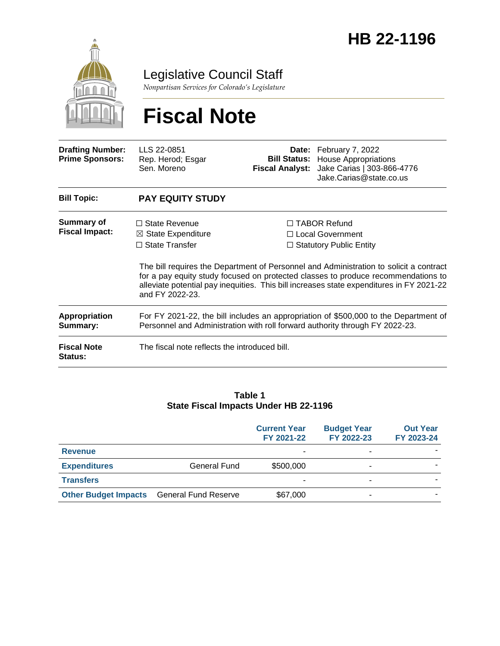

Legislative Council Staff

*Nonpartisan Services for Colorado's Legislature*

# **Fiscal Note**

| <b>Drafting Number:</b><br><b>Prime Sponsors:</b> | LLS 22-0851<br>Rep. Herod; Esgar<br>Sen. Moreno                                                                                                                      | <b>Fiscal Analyst:</b> | Date: February 7, 2022<br><b>Bill Status:</b> House Appropriations<br>Jake Carias   303-866-4776<br>Jake.Carias@state.co.us                                                                                                                                                                                                                            |  |
|---------------------------------------------------|----------------------------------------------------------------------------------------------------------------------------------------------------------------------|------------------------|--------------------------------------------------------------------------------------------------------------------------------------------------------------------------------------------------------------------------------------------------------------------------------------------------------------------------------------------------------|--|
| <b>Bill Topic:</b>                                | <b>PAY EQUITY STUDY</b>                                                                                                                                              |                        |                                                                                                                                                                                                                                                                                                                                                        |  |
| Summary of<br><b>Fiscal Impact:</b>               | $\Box$ State Revenue<br>$\boxtimes$ State Expenditure<br>$\Box$ State Transfer<br>and FY 2022-23.                                                                    |                        | $\Box$ TABOR Refund<br>□ Local Government<br>$\Box$ Statutory Public Entity<br>The bill requires the Department of Personnel and Administration to solicit a contract<br>for a pay equity study focused on protected classes to produce recommendations to<br>alleviate potential pay inequities. This bill increases state expenditures in FY 2021-22 |  |
| <b>Appropriation</b><br>Summary:                  | For FY 2021-22, the bill includes an appropriation of \$500,000 to the Department of<br>Personnel and Administration with roll forward authority through FY 2022-23. |                        |                                                                                                                                                                                                                                                                                                                                                        |  |
| <b>Fiscal Note</b><br>Status:                     | The fiscal note reflects the introduced bill.                                                                                                                        |                        |                                                                                                                                                                                                                                                                                                                                                        |  |

#### **Table 1 State Fiscal Impacts Under HB 22-1196**

|                             |                             | <b>Current Year</b><br>FY 2021-22 | <b>Budget Year</b><br>FY 2022-23 | <b>Out Year</b><br>FY 2023-24 |
|-----------------------------|-----------------------------|-----------------------------------|----------------------------------|-------------------------------|
| <b>Revenue</b>              |                             |                                   | ۰                                |                               |
| <b>Expenditures</b>         | General Fund                | \$500,000                         |                                  |                               |
| <b>Transfers</b>            |                             |                                   | -                                |                               |
| <b>Other Budget Impacts</b> | <b>General Fund Reserve</b> | \$67,000                          | -                                |                               |